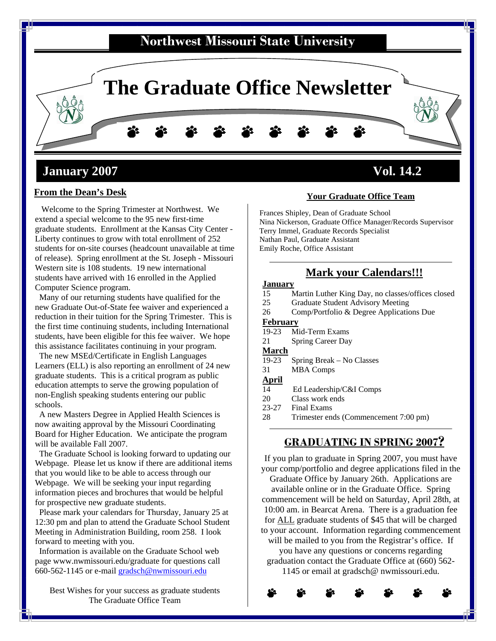

# **From the Dean's Desk**

 Welcome to the Spring Trimester at Northwest. We extend a special welcome to the 95 new first-time graduate students. Enrollment at the Kansas City Center - Liberty continues to grow with total enrollment of 252 students for on-site courses (headcount unavailable at time of release). Spring enrollment at the St. Joseph - Missouri Western site is 108 students. 19 new international students have arrived with 16 enrolled in the Applied Computer Science program.

 Many of our returning students have qualified for the new Graduate Out-of-State fee waiver and experienced a reduction in their tuition for the Spring Trimester. This is the first time continuing students, including International students, have been eligible for this fee waiver. We hope this assistance facilitates continuing in your program.

 The new MSEd/Certificate in English Languages Learners (ELL) is also reporting an enrollment of 24 new graduate students. This is a critical program as public education attempts to serve the growing population of non-English speaking students entering our public schools.

 A new Masters Degree in Applied Health Sciences is now awaiting approval by the Missouri Coordinating Board for Higher Education. We anticipate the program will be available Fall 2007.

 The Graduate School is looking forward to updating our Webpage. Please let us know if there are additional items that you would like to be able to access through our Webpage. We will be seeking your input regarding information pieces and brochures that would be helpful for prospective new graduate students.

 Please mark your calendars for Thursday, January 25 at 12:30 pm and plan to attend the Graduate School Student Meeting in Administration Building, room 258. I look forward to meeting with you.

 Information is available on the Graduate School web page www.nwmissouri.edu/graduate for questions call 660-562-1145 or e-mail [gradsch@nwmissouri.edu](mailto:gradsch@nwmissouri.edu)

Best Wishes for your success as graduate students The Graduate Office Team

#### **Your Graduate Office Team**

 Frances Shipley, Dean of Graduate School Nina Nickerson, Graduate Office Manager/Records Supervisor Terry Immel, Graduate Records Specialist Nathan Paul, Graduate Assistant Emily Roche, Office Assistant

### **Mark your Calendars!!!**

#### **January**

- 15 Martin Luther King Day, no classes/offices closed<br>25 Graduate Student Advisory Meeting
- Graduate Student Advisory Meeting
- 26 Comp/Portfolio & Degree Applications Due

#### **February**

19-23 Mid-Term Exams

21 Spring Career Day

# **March**<br>19-23

Spring Break – No Classes

#### 31 MBA Comps

- **April**
- 14 Ed Leadership/C&I Comps
- 20 Class work ends
- 23-27 Final Exams
- 28 Trimester ends (Commencement 7:00 pm)

### **GRADUATING IN SPRING 2007?**

commencement will be held on Saturday, April 28th, at For ALL graduate students of \$45 that will be charged to your account. Information regarding commencement If you plan to graduate in Spring 2007, you must have your comp/portfolio and degree applications filed in the Graduate Office by January 26th. Applications are available online or in the Graduate Office. Spring 10:00 am. in Bearcat Arena. There is a graduation fee will be mailed to you from the Registrar's office. If you have any questions or concerns regarding graduation contact the Graduate Office at (660) 562- 1145 or email at gradsch@ nwmissouri.edu.

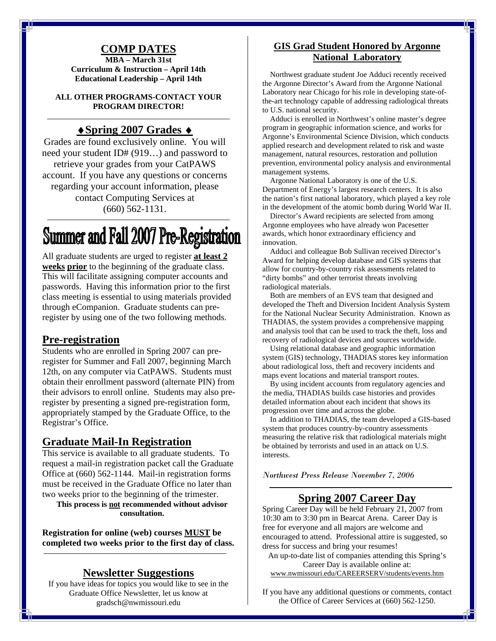### **COMP DATES**

**MBA – March 31st Curriculum & Instruction – April 14th Educational Leadership – April 14th** 

**ALL OTHER PROGRAMS-CONTACT YOUR PROGRAM DIRECTOR!** 

#### ♦**Spring 2007 Grades** ♦

Grades are found exclusively online. You will need your student ID# (919…) and password to retrieve your grades from your CatPAWS account. If you have any questions or concerns regarding your account information, please contact Computing Services at (660) 562-1131.

# **Summer and Fall 2007 Pre-Registration**

All graduate students are urged to register **at least 2 weeks prior** to the beginning of the graduate class. This will facilitate assigning computer accounts and passwords. Having this information prior to the first class meeting is essential to using materials provided through eCompanion. Graduate students can preregister by using one of the two following methods.

#### **Pre-registration**

Students who are enrolled in Spring 2007 can preregister for Summer and Fall 2007, beginning March 12th, on any computer via CatPAWS. Students must obtain their enrollment password (alternate PIN) from their advisors to enroll online. Students may also preregister by presenting a signed pre-registration form, appropriately stamped by the Graduate Office, to the Registrar's Office.

#### **Graduate Mail-In Registration**

This service is available to all graduate students. To request a mail-in registration packet call the Graduate Office at (660) 562-1144. Mail-in registration forms must be received in the Graduate Office no later than two weeks prior to the beginning of the trimester.

**This process is not recommended without advisor consultation.** 

**Registration for online (web) courses MUST be completed two weeks prior to the first day of class.** 

#### **Newsletter Suggestions**

If you have ideas for topics you would like to see in the Graduate Office Newsletter, let us know at gradsch@nwmissouri.edu

#### **GIS Grad Student Honored by Argonne National Laboratory**

 Northwest graduate student Joe Adduci recently received the Argonne Director's Award from the Argonne National Laboratory near Chicago for his role in developing state-ofthe-art technology capable of addressing radiological threats to U.S. national security.

 Adduci is enrolled in Northwest's online master's degree program in geographic information science, and works for Argonne's Environmental Science Division, which conducts applied research and development related to risk and waste management, natural resources, restoration and pollution prevention, environmental policy analysis and environmental management systems.

 Argonne National Laboratory is one of the U.S. Department of Energy's largest research centers. It is also the nation's first national laboratory, which played a key role in the development of the atomic bomb during World War II.

 Director's Award recipients are selected from among Argonne employees who have already won Pacesetter awards, which honor extraordinary efficiency and innovation.

 Adduci and colleague Bob Sullivan received Director's Award for helping develop database and GIS systems that allow for country-by-country risk assessments related to "dirty bombs" and other terrorist threats involving radiological materials.

 Both are members of an EVS team that designed and developed the Theft and Diversion Incident Analysis System for the National Nuclear Security Administration. Known as THADIAS, the system provides a comprehensive mapping and analysis tool that can be used to track the theft, loss and recovery of radiological devices and sources worldwide.

 Using relational database and geographic information system (GIS) technology, THADIAS stores key information about radiological loss, theft and recovery incidents and maps event locations and material transport routes.

 By using incident accounts from regulatory agencies and the media, THADIAS builds case histories and provides detailed information about each incident that shows its progression over time and across the globe.

 In addition to THADIAS, the team developed a GIS-based system that produces country-by-country assessments measuring the relative risk that radiological materials might be obtained by terrorists and used in an attack on U.S. interests.

*Northwest Press Release November 7, 2006* 

#### **Spring 2007 Career Day**

Spring Career Day will be held February 21, 2007 from 10:30 am to 3:30 pm in Bearcat Arena. Career Day is free for everyone and all majors are welcome and encouraged to attend. Professional attire is suggested, so dress for success and bring your resumes!

An up-to-date list of companies attending this Spring's Career Day is available online at: www.nwmissouri.edu/CAREERSERV/students/events.htm

If you have any additional questions or comments, contact the Office of Career Services at (660) 562-1250.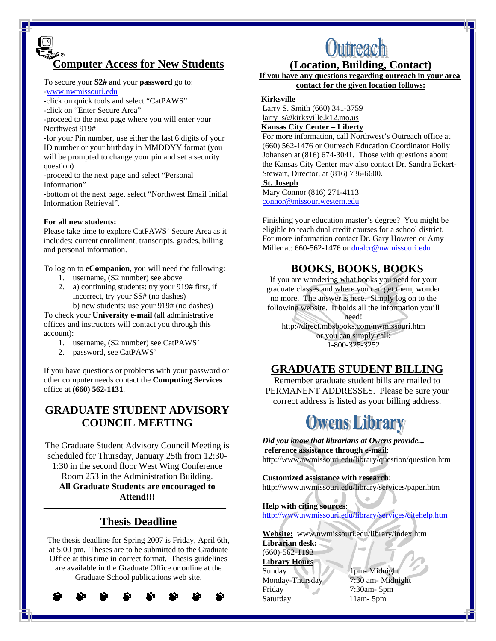# **Computer Access for New Students**

To secure your **S2#** and your **password** go to: [-www.nwmissouri.edu](http://www.nwmissouri.edu/)

-click on quick tools and select "CatPAWS"

-click on "Enter Secure Area"

-proceed to the next page where you will enter your Northwest 919#

-for your Pin number, use either the last 6 digits of your ID number or your birthday in MMDDYY format (you will be prompted to change your pin and set a security question)

-proceed to the next page and select "Personal Information"

-bottom of the next page, select "Northwest Email Initial Information Retrieval".

#### **For all new students:**

Please take time to explore CatPAWS' Secure Area as it includes: current enrollment, transcripts, grades, billing and personal information.

To log on to **eCompanion**, you will need the following:

- 1. username, (S2 number) see above
- 2. a) continuing students: try your 919# first, if incorrect, try your SS# (no dashes) b) new students: use your 919# (no dashes)

To check your **University e-mail** (all administrative offices and instructors will contact you through this account):

- 1. username, (S2 number) see CatPAWS'
- 2. password, see CatPAWS'

If you have questions or problems with your password or other computer needs contact the **Computing Services** office at **(660) 562-1131**.

# **GRADUATE STUDENT ADVISORY COUNCIL MEETING**

The Graduate Student Advisory Council Meeting is scheduled for Thursday, January 25th from 12:30- 1:30 in the second floor West Wing Conference Room 253 in the Administration Building. **All Graduate Students are encouraged to Attend!!!** 

# **Thesis Deadline**

The thesis deadline for Spring 2007 is Friday, April 6th, at 5:00 pm. Theses are to be submitted to the Graduate Office at this time in correct format. Thesis guidelines are available in the Graduate Office or online at the Graduate School publications web site.



# Outreach

### **(Location, Building, Contact)**

**If you have any questions regarding outreach in your area, contact for the given location follows:**

#### **Kirksville**

Larry S. Smith (660) 341-3759 larry\_s@kirksville.k12.mo.us

#### **Kansas City Center – Liberty**

For more information, call Northwest's Outreach office at (660) 562-1476 or Outreach Education Coordinator Holly Johansen at (816) 674-3041. Those with questions about the Kansas City Center may also contact Dr. Sandra Eckert-Stewart, Director, at (816) 736-6600.

#### **St. Joseph**

Mary Connor (816) 271-4113 [connor@missouriwestern.edu](mailto:connor@missouriwestern.edu)

Finishing your education master's degree? You might be eligible to teach dual credit courses for a school district. For more information contact Dr. Gary Howren or Amy Miller at: 660-562-1476 or [dualcr@nwmissouri.edu](mailto:dualcr@nwmissouri.edu)

## **BOOKS, BOOKS, BOOKS**

If you are wondering what books you need for your graduate classes and where you can get them, wonder no more. The answer is here. Simply log on to the following website. It holds all the information you'll need!

http://direct.mbsbooks.com/nwmissouri.htm or you can simply call: 1-800-325-3252

# **GRADUATE STUDENT BILLING**

Remember graduate student bills are mailed to PERMANENT ADDRESSES. Please be sure your correct address is listed as your billing address.

# **Owens Library**

*Did you know that librarians at Owens provide...*  **reference assistance through e-mail**: http://www.nwmissouri.edu/library/question/question.htm

**Customized assistance with research**: http://www.nwmissouri.edu/library/services/paper.htm

**Help with citing sources**: <http://www.nwmissouri.edu/library/services/citehelp.htm>

**Website:** www.nwmissouri.edu/library/index.htm **Librarian desk:**  $(660) - 562 - 1193$ 

**Library Hours** Sunday 1pm- Midnight Friday 7:30am- 5pm Saturday 11am- 5pm

Monday-Thursday 7:30 am- Midnight